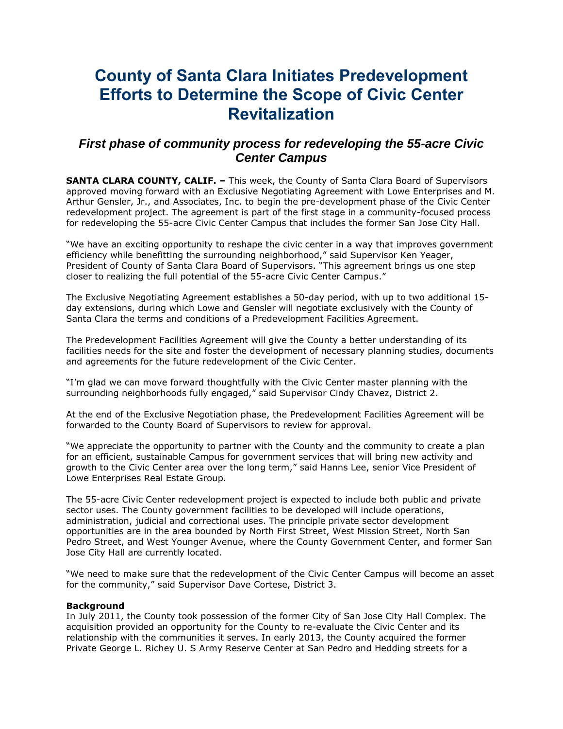# **County of Santa Clara Initiates Predevelopment Efforts to Determine the Scope of Civic Center Revitalization**

## *First phase of community process for redeveloping the 55-acre Civic Center Campus*

**SANTA CLARA COUNTY, CALIF. –** This week, the County of Santa Clara Board of Supervisors approved moving forward with an Exclusive Negotiating Agreement with Lowe Enterprises and M. Arthur Gensler, Jr., and Associates, Inc. to begin the pre-development phase of the Civic Center redevelopment project. The agreement is part of the first stage in a community-focused process for redeveloping the 55-acre Civic Center Campus that includes the former San Jose City Hall.

"We have an exciting opportunity to reshape the civic center in a way that improves government efficiency while benefitting the surrounding neighborhood," said Supervisor Ken Yeager, President of County of Santa Clara Board of Supervisors. "This agreement brings us one step closer to realizing the full potential of the 55-acre Civic Center Campus."

The Exclusive Negotiating Agreement establishes a 50-day period, with up to two additional 15 day extensions, during which Lowe and Gensler will negotiate exclusively with the County of Santa Clara the terms and conditions of a Predevelopment Facilities Agreement.

The Predevelopment Facilities Agreement will give the County a better understanding of its facilities needs for the site and foster the development of necessary planning studies, documents and agreements for the future redevelopment of the Civic Center.

"I'm glad we can move forward thoughtfully with the Civic Center master planning with the surrounding neighborhoods fully engaged," said Supervisor Cindy Chavez, District 2.

At the end of the Exclusive Negotiation phase, the Predevelopment Facilities Agreement will be forwarded to the County Board of Supervisors to review for approval.

"We appreciate the opportunity to partner with the County and the community to create a plan for an efficient, sustainable Campus for government services that will bring new activity and growth to the Civic Center area over the long term," said Hanns Lee, senior Vice President of Lowe Enterprises Real Estate Group.

The 55-acre Civic Center redevelopment project is expected to include both public and private sector uses. The County government facilities to be developed will include operations, administration, judicial and correctional uses. The principle private sector development opportunities are in the area bounded by North First Street, West Mission Street, North San Pedro Street, and West Younger Avenue, where the County Government Center, and former San Jose City Hall are currently located.

"We need to make sure that the redevelopment of the Civic Center Campus will become an asset for the community," said Supervisor Dave Cortese, District 3.

### **Background**

In July 2011, the County took possession of the former City of San Jose City Hall Complex. The acquisition provided an opportunity for the County to re-evaluate the Civic Center and its relationship with the communities it serves. In early 2013, the County acquired the former Private George L. Richey U. S Army Reserve Center at San Pedro and Hedding streets for a